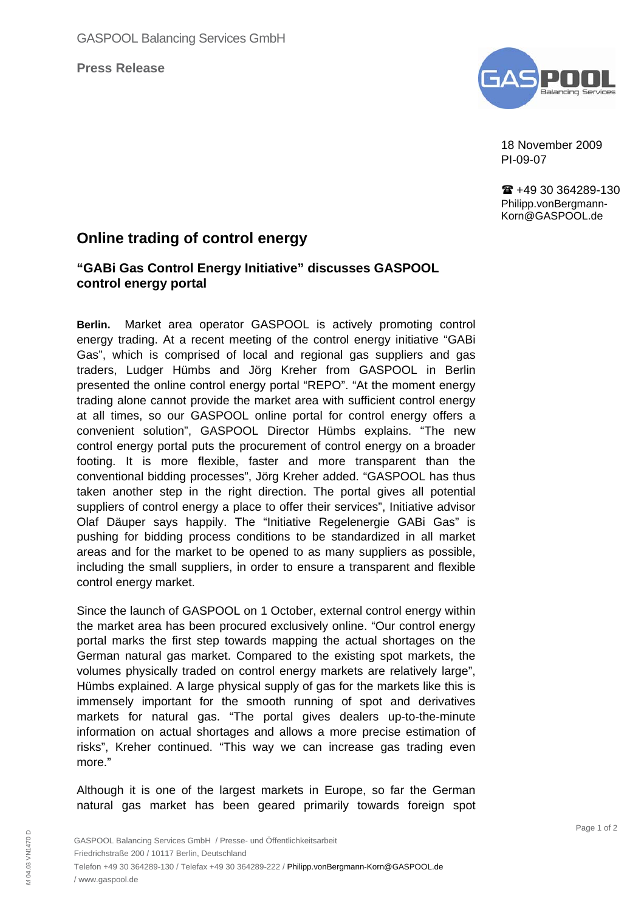**Press Release**



18 November 2009 PI-09-07

■ +49 30 364289-130 Philipp.vonBergmann-Korn@GASPOOL.de

# **Online trading of control energy**

# **"GABi Gas Control Energy Initiative" discusses GASPOOL control energy portal**

**Berlin.** Market area operator GASPOOL is actively promoting control energy trading. At a recent meeting of the control energy initiative "GABi Gas", which is comprised of local and regional gas suppliers and gas traders, Ludger Hümbs and Jörg Kreher from GASPOOL in Berlin presented the online control energy portal "REPO". "At the moment energy trading alone cannot provide the market area with sufficient control energy at all times, so our GASPOOL online portal for control energy offers a convenient solution", GASPOOL Director Hümbs explains. "The new control energy portal puts the procurement of control energy on a broader footing. It is more flexible, faster and more transparent than the conventional bidding processes", Jörg Kreher added. "GASPOOL has thus taken another step in the right direction. The portal gives all potential suppliers of control energy a place to offer their services", Initiative advisor Olaf Däuper says happily. The "Initiative Regelenergie GABi Gas" is pushing for bidding process conditions to be standardized in all market areas and for the market to be opened to as many suppliers as possible, including the small suppliers, in order to ensure a transparent and flexible control energy market.

Since the launch of GASPOOL on 1 October, external control energy within the market area has been procured exclusively online. "Our control energy portal marks the first step towards mapping the actual shortages on the German natural gas market. Compared to the existing spot markets, the volumes physically traded on control energy markets are relatively large", Hümbs explained. A large physical supply of gas for the markets like this is immensely important for the smooth running of spot and derivatives markets for natural gas. "The portal gives dealers up-to-the-minute information on actual shortages and allows a more precise estimation of risks", Kreher continued. "This way we can increase gas trading even more."

Although it is one of the largest markets in Europe, so far the German natural gas market has been geared primarily towards foreign spot

*M* 04.03 VN1470 D

M04.03 VN1470 D